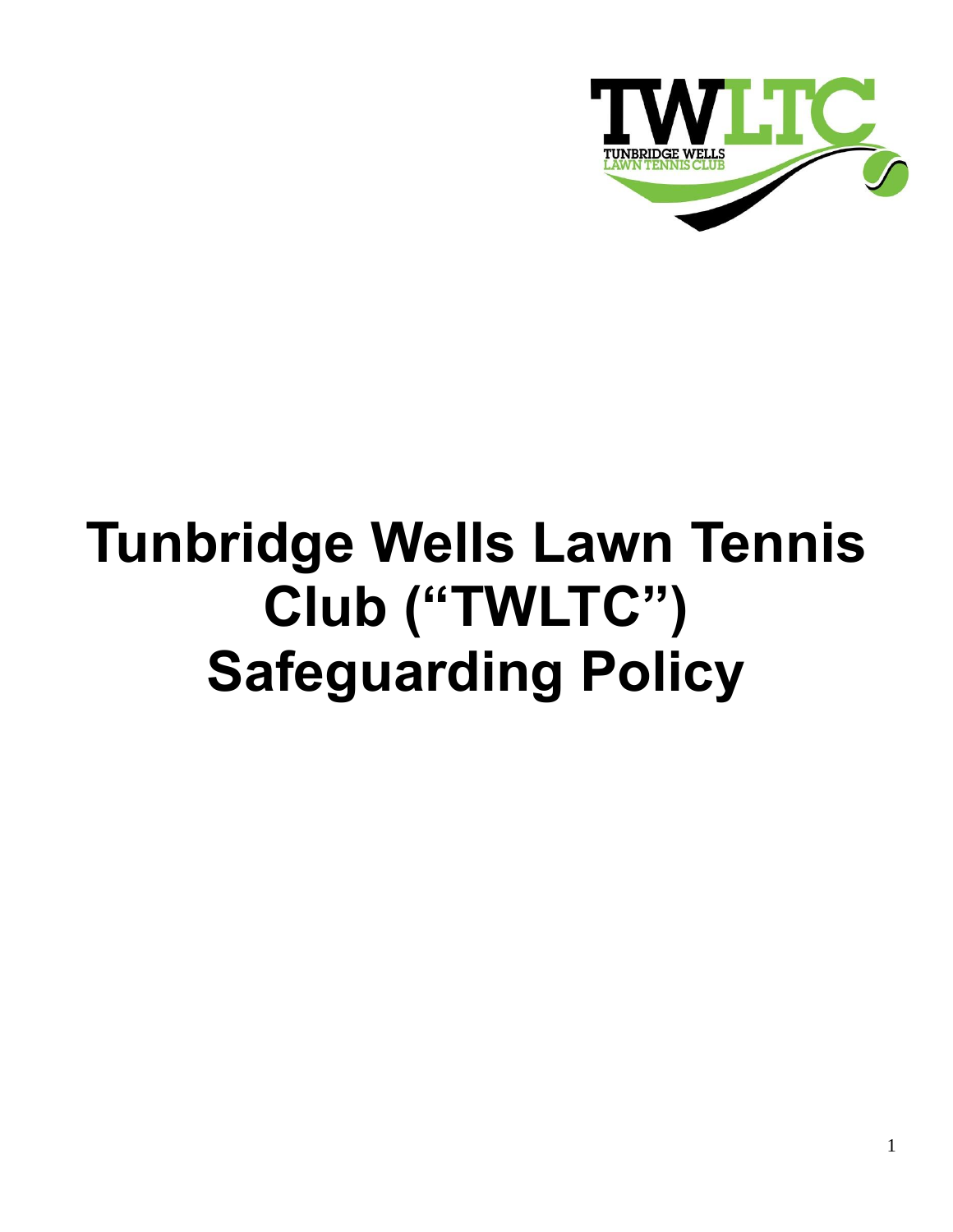

# **Tunbridge Wells Lawn Tennis Club ("TWLTC") Safeguarding Policy**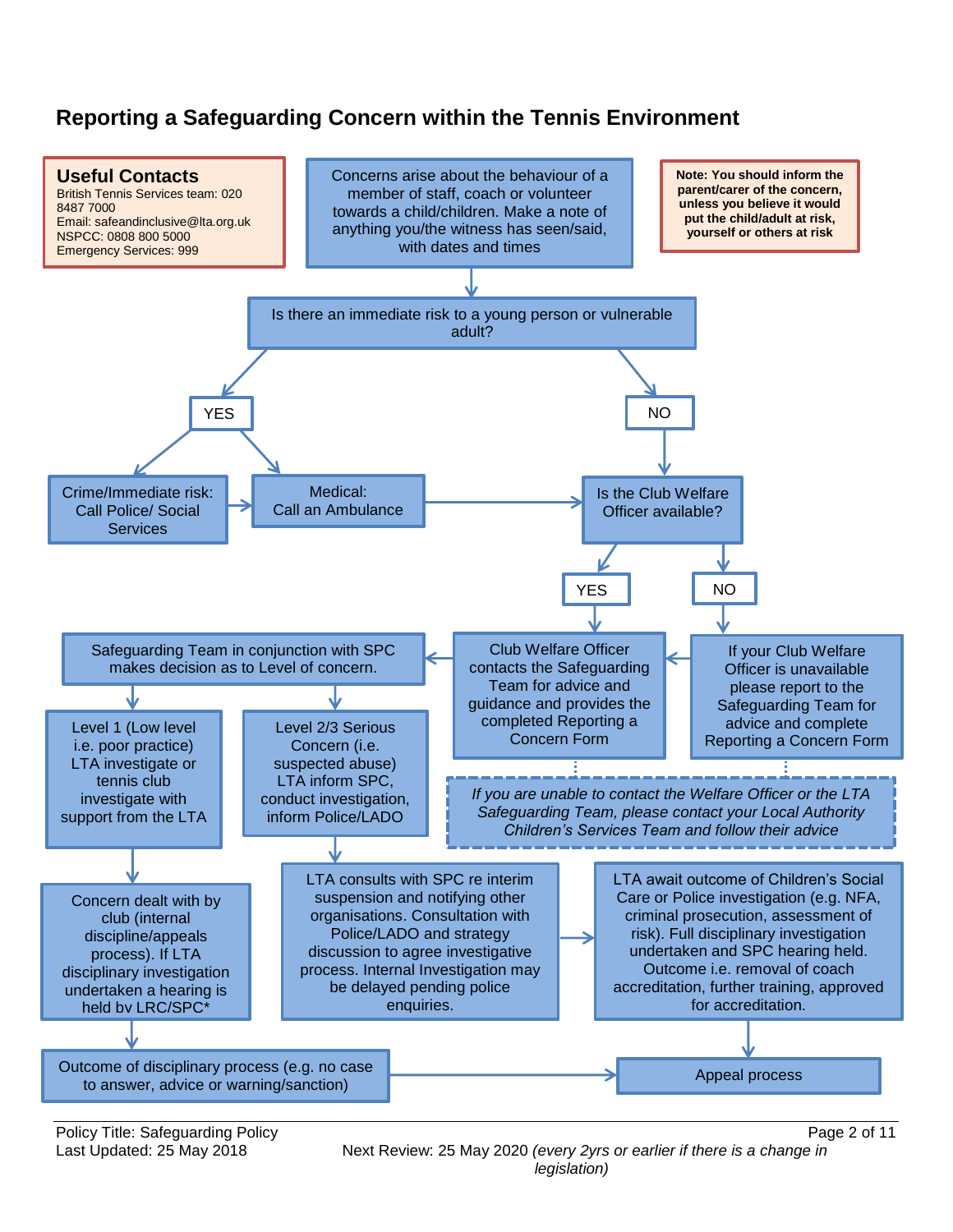## **Reporting a Safeguarding Concern within the Tennis Environment**



Policy Title: Safeguarding Policy **Policy Page 2 of 11** 

Last Updated: 25 May 2018Next Review: 25 May 2020 *(every 2yrs or earlier if there is a change in legislation)*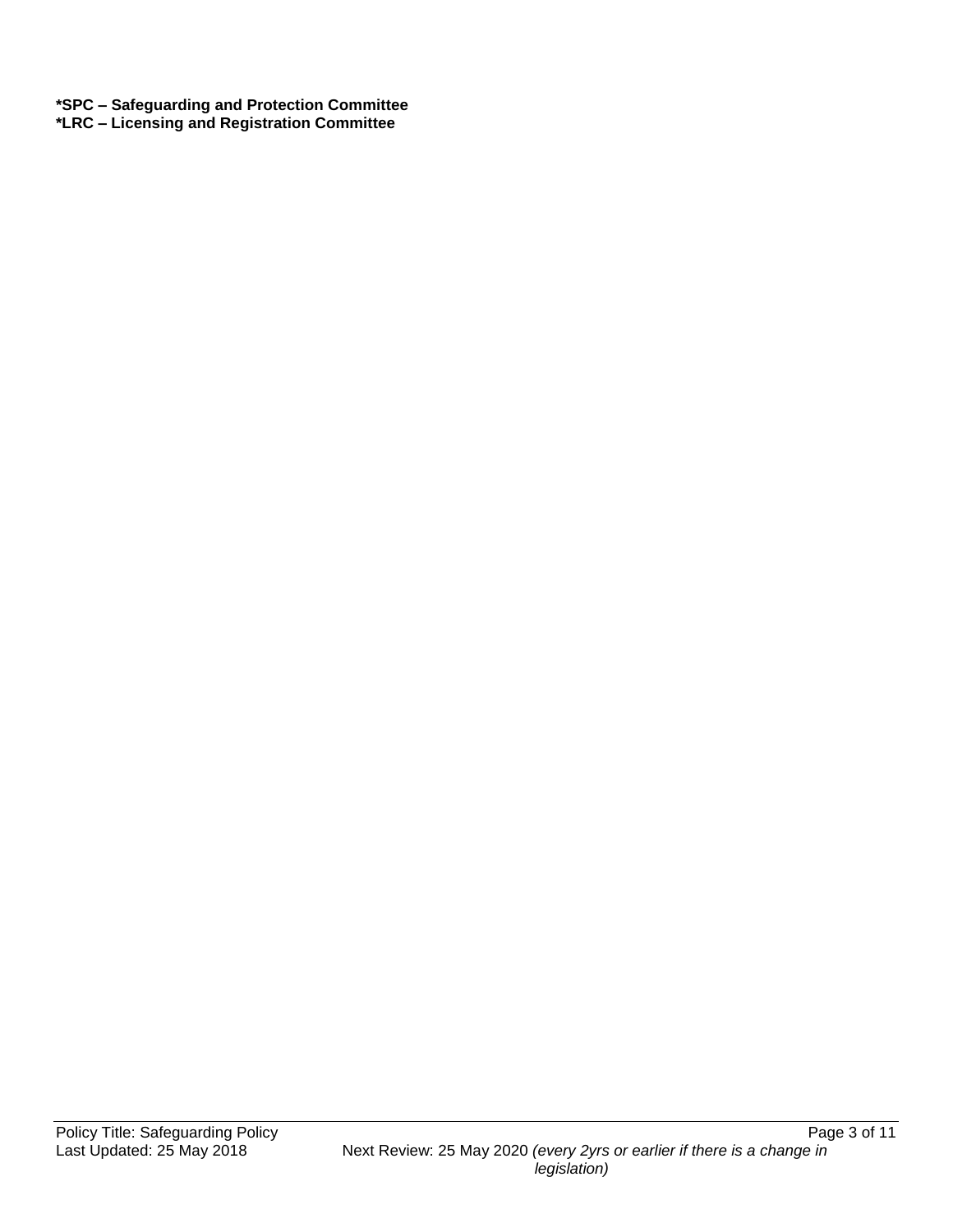**\*SPC – Safeguarding and Protection Committee \*LRC – Licensing and Registration Committee**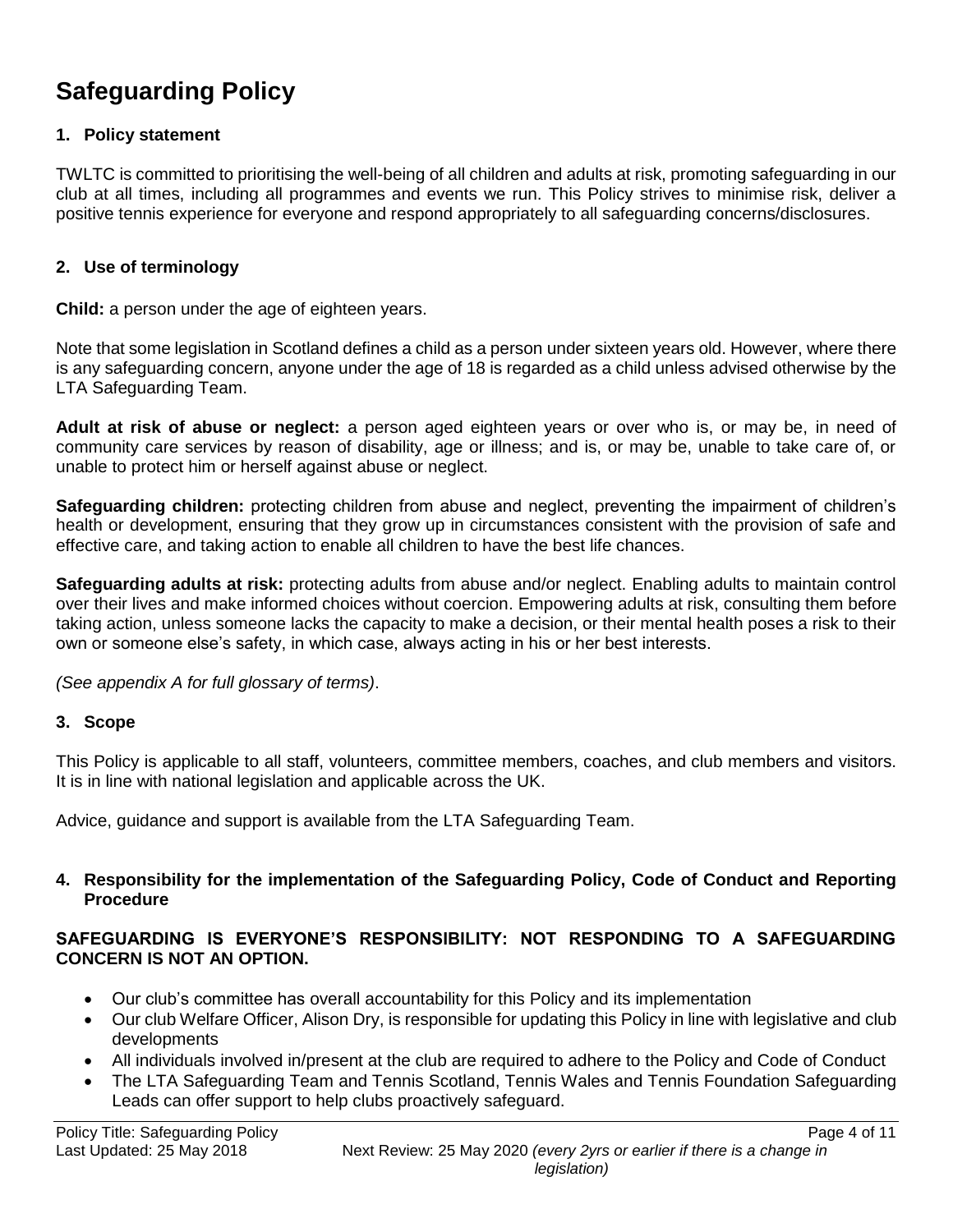# **Safeguarding Policy**

### **1. Policy statement**

TWLTC is committed to prioritising the well-being of all children and adults at risk, promoting safeguarding in our club at all times, including all programmes and events we run. This Policy strives to minimise risk, deliver a positive tennis experience for everyone and respond appropriately to all safeguarding concerns/disclosures.

#### **2. Use of terminology**

**Child:** a person under the age of eighteen years.

Note that some legislation in Scotland defines a child as a person under sixteen years old. However, where there is any safeguarding concern, anyone under the age of 18 is regarded as a child unless advised otherwise by the LTA Safeguarding Team.

**Adult at risk of abuse or neglect:** a person aged eighteen years or over who is, or may be, in need of community care services by reason of disability, age or illness; and is, or may be, unable to take care of, or unable to protect him or herself against abuse or neglect.

**Safeguarding children:** protecting children from abuse and neglect, preventing the impairment of children's health or development, ensuring that they grow up in circumstances consistent with the provision of safe and effective care, and taking action to enable all children to have the best life chances.

**Safeguarding adults at risk:** protecting adults from abuse and/or neglect. Enabling adults to maintain control over their lives and make informed choices without coercion. Empowering adults at risk, consulting them before taking action, unless someone lacks the capacity to make a decision, or their mental health poses a risk to their own or someone else's safety, in which case, always acting in his or her best interests.

*(See appendix A for full glossary of terms)*.

### **3. Scope**

This Policy is applicable to all staff, volunteers, committee members, coaches, and club members and visitors. It is in line with national legislation and applicable across the UK.

Advice, guidance and support is available from the LTA Safeguarding Team.

#### **4. Responsibility for the implementation of the Safeguarding Policy, Code of Conduct and Reporting Procedure**

### **SAFEGUARDING IS EVERYONE'S RESPONSIBILITY: NOT RESPONDING TO A SAFEGUARDING CONCERN IS NOT AN OPTION.**

- Our club's committee has overall accountability for this Policy and its implementation
- Our club Welfare Officer, Alison Dry, is responsible for updating this Policy in line with legislative and club developments
- All individuals involved in/present at the club are required to adhere to the Policy and Code of Conduct
- The LTA Safeguarding Team and Tennis Scotland, Tennis Wales and Tennis Foundation Safeguarding Leads can offer support to help clubs proactively safeguard.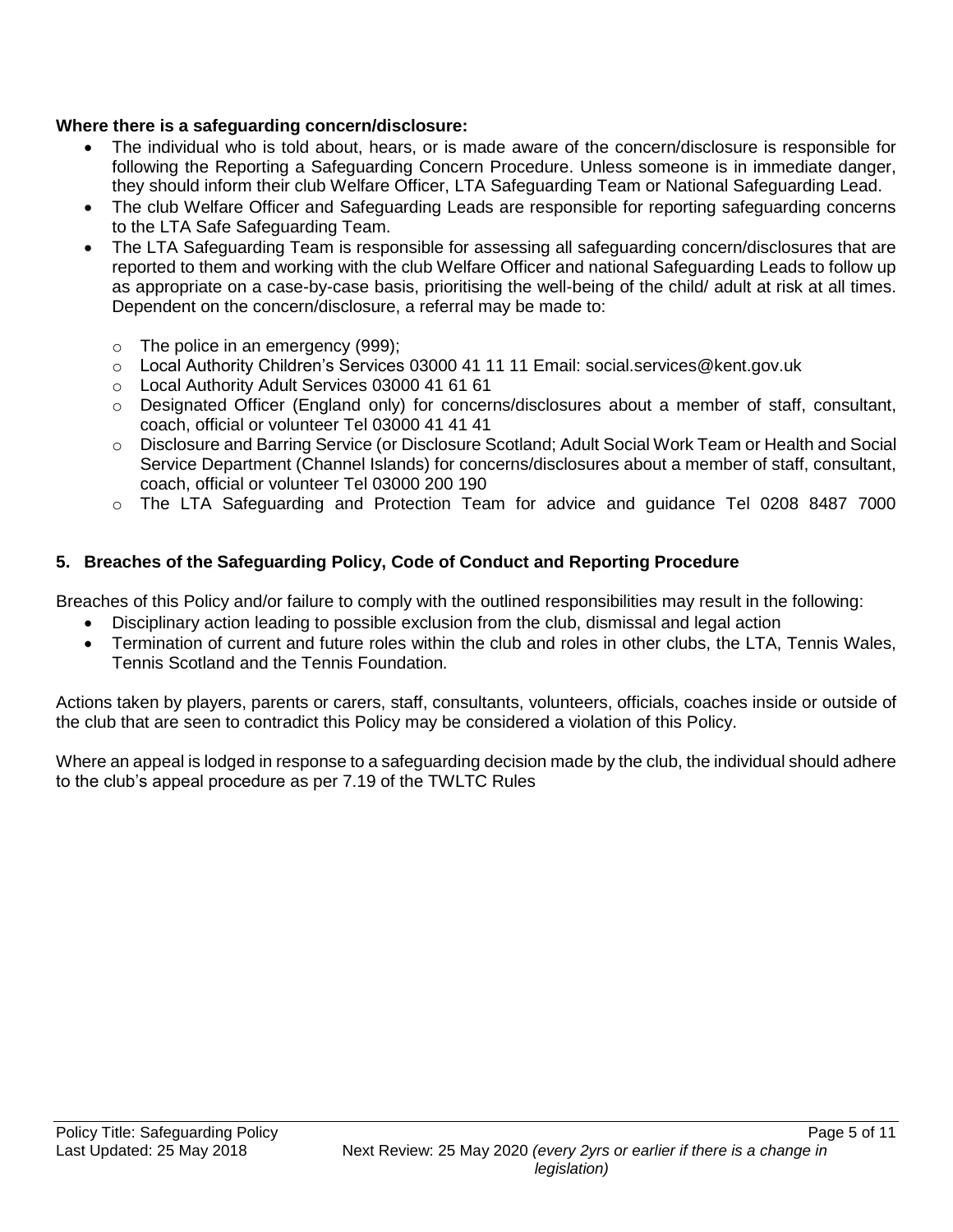### **Where there is a safeguarding concern/disclosure:**

- The individual who is told about, hears, or is made aware of the concern/disclosure is responsible for following the Reporting a Safeguarding Concern Procedure. Unless someone is in immediate danger, they should inform their club Welfare Officer, LTA Safeguarding Team or National Safeguarding Lead.
- The club Welfare Officer and Safeguarding Leads are responsible for reporting safeguarding concerns to the LTA Safe Safeguarding Team.
- The LTA Safeguarding Team is responsible for assessing all safeguarding concern/disclosures that are reported to them and working with the club Welfare Officer and national Safeguarding Leads to follow up as appropriate on a case-by-case basis, prioritising the well-being of the child/ adult at risk at all times. Dependent on the concern/disclosure, a referral may be made to:
	- $\circ$  The police in an emergency (999);
	- o Local Authority Children's Services 03000 41 11 11 Email: social.services@kent.gov.uk
	- o Local Authority Adult Services 03000 41 61 61
	- $\circ$  Designated Officer (England only) for concerns/disclosures about a member of staff, consultant, coach, official or volunteer Tel 03000 41 41 41
	- o Disclosure and Barring Service (or Disclosure Scotland; Adult Social Work Team or Health and Social Service Department (Channel Islands) for concerns/disclosures about a member of staff, consultant, coach, official or volunteer Tel 03000 200 190
	- o The LTA Safeguarding and Protection Team for advice and guidance Tel 0208 8487 7000

### **5. Breaches of the Safeguarding Policy, Code of Conduct and Reporting Procedure**

Breaches of this Policy and/or failure to comply with the outlined responsibilities may result in the following:

- Disciplinary action leading to possible exclusion from the club, dismissal and legal action
- Termination of current and future roles within the club and roles in other clubs, the LTA, Tennis Wales, Tennis Scotland and the Tennis Foundation*.*

Actions taken by players, parents or carers, staff, consultants, volunteers, officials, coaches inside or outside of the club that are seen to contradict this Policy may be considered a violation of this Policy.

Where an appeal is lodged in response to a safeguarding decision made by the club, the individual should adhere to the club's appeal procedure as per 7.19 of the TWLTC Rules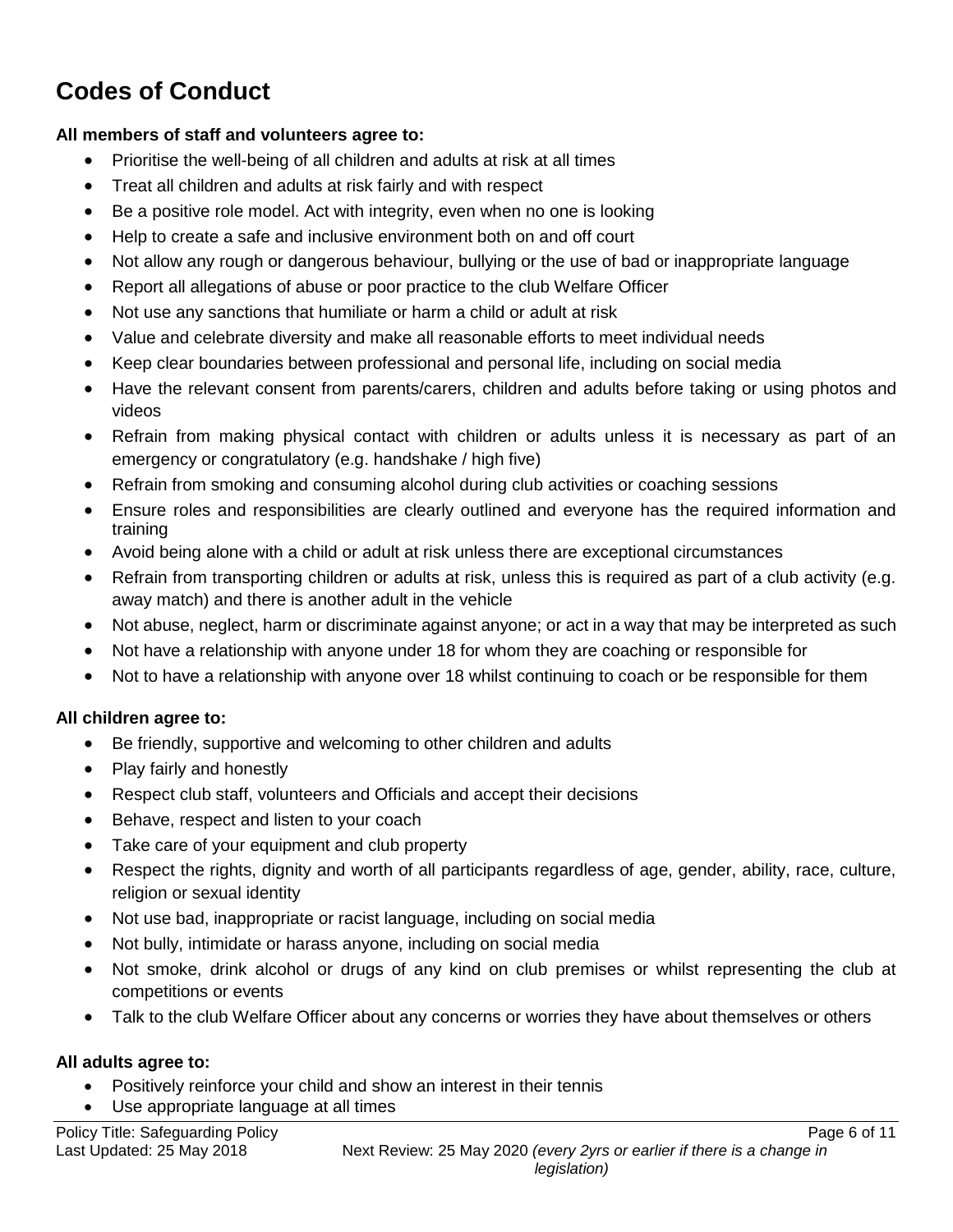# **Codes of Conduct**

### **All members of staff and volunteers agree to:**

- Prioritise the well-being of all children and adults at risk at all times
- Treat all children and adults at risk fairly and with respect
- Be a positive role model. Act with integrity, even when no one is looking
- Help to create a safe and inclusive environment both on and off court
- Not allow any rough or dangerous behaviour, bullying or the use of bad or inappropriate language
- Report all allegations of abuse or poor practice to the club Welfare Officer
- Not use any sanctions that humiliate or harm a child or adult at risk
- Value and celebrate diversity and make all reasonable efforts to meet individual needs
- Keep clear boundaries between professional and personal life, including on social media
- Have the relevant consent from parents/carers, children and adults before taking or using photos and videos
- Refrain from making physical contact with children or adults unless it is necessary as part of an emergency or congratulatory (e.g. handshake / high five)
- Refrain from smoking and consuming alcohol during club activities or coaching sessions
- Ensure roles and responsibilities are clearly outlined and everyone has the required information and training
- Avoid being alone with a child or adult at risk unless there are exceptional circumstances
- Refrain from transporting children or adults at risk, unless this is required as part of a club activity (e.g. away match) and there is another adult in the vehicle
- Not abuse, neglect, harm or discriminate against anyone; or act in a way that may be interpreted as such
- Not have a relationship with anyone under 18 for whom they are coaching or responsible for
- Not to have a relationship with anyone over 18 whilst continuing to coach or be responsible for them

### **All children agree to:**

- Be friendly, supportive and welcoming to other children and adults
- Play fairly and honestly
- Respect club staff, volunteers and Officials and accept their decisions
- Behave, respect and listen to your coach
- Take care of your equipment and club property
- Respect the rights, dignity and worth of all participants regardless of age, gender, ability, race, culture, religion or sexual identity
- Not use bad, inappropriate or racist language, including on social media
- Not bully, intimidate or harass anyone, including on social media
- Not smoke, drink alcohol or drugs of any kind on club premises or whilst representing the club at competitions or events
- Talk to the club Welfare Officer about any concerns or worries they have about themselves or others

### **All adults agree to:**

- Positively reinforce your child and show an interest in their tennis
- Use appropriate language at all times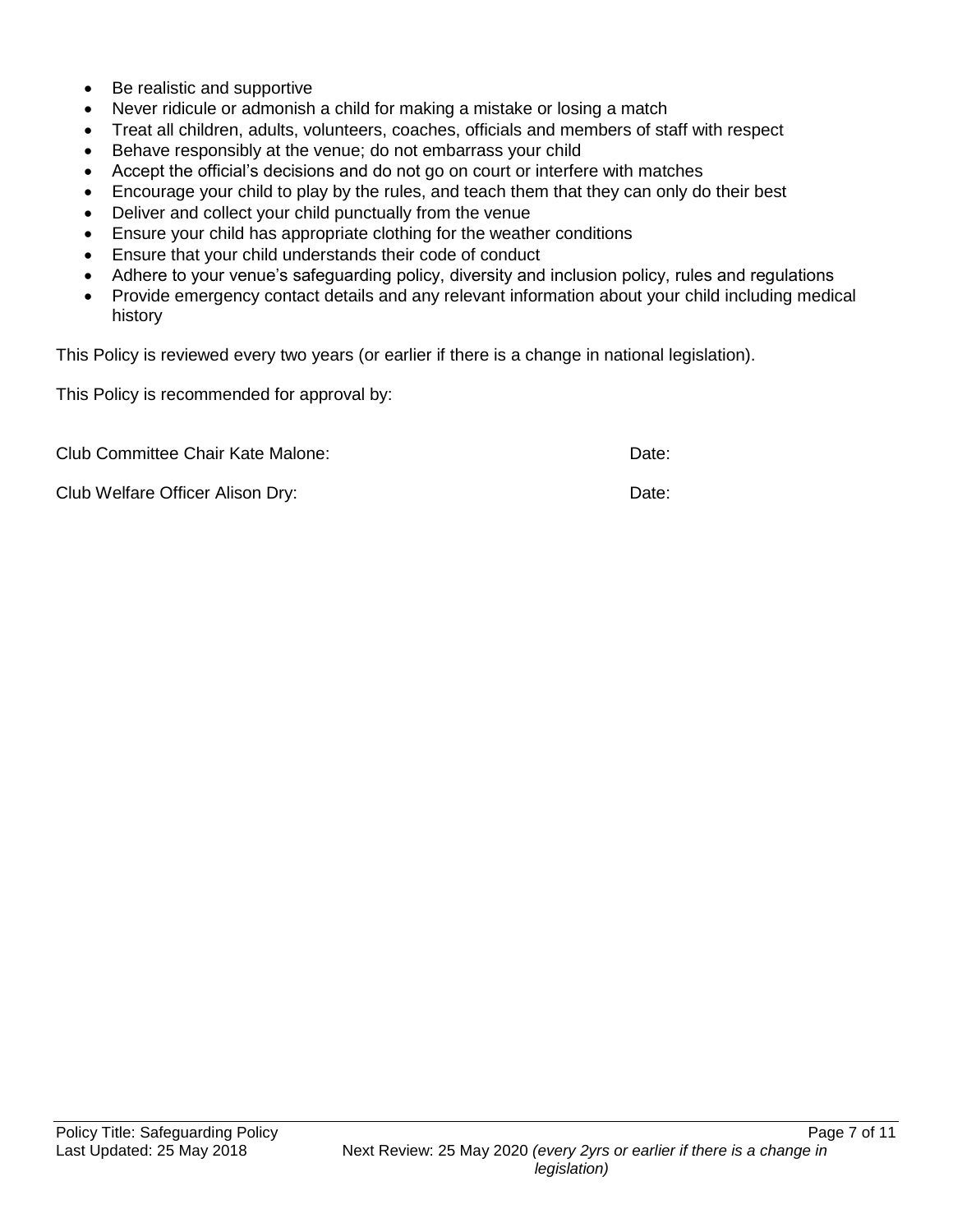- Be realistic and supportive
- Never ridicule or admonish a child for making a mistake or losing a match
- Treat all children, adults, volunteers, coaches, officials and members of staff with respect
- Behave responsibly at the venue; do not embarrass your child
- Accept the official's decisions and do not go on court or interfere with matches
- Encourage your child to play by the rules, and teach them that they can only do their best
- Deliver and collect your child punctually from the venue
- Ensure your child has appropriate clothing for the weather conditions
- Ensure that your child understands their code of conduct
- Adhere to your venue's safeguarding policy, diversity and inclusion policy, rules and regulations
- Provide emergency contact details and any relevant information about your child including medical history

This Policy is reviewed every two years (or earlier if there is a change in national legislation).

This Policy is recommended for approval by:

Club Committee Chair Kate Malone: Date:

Club Welfare Officer Alison Dry: Date: Date: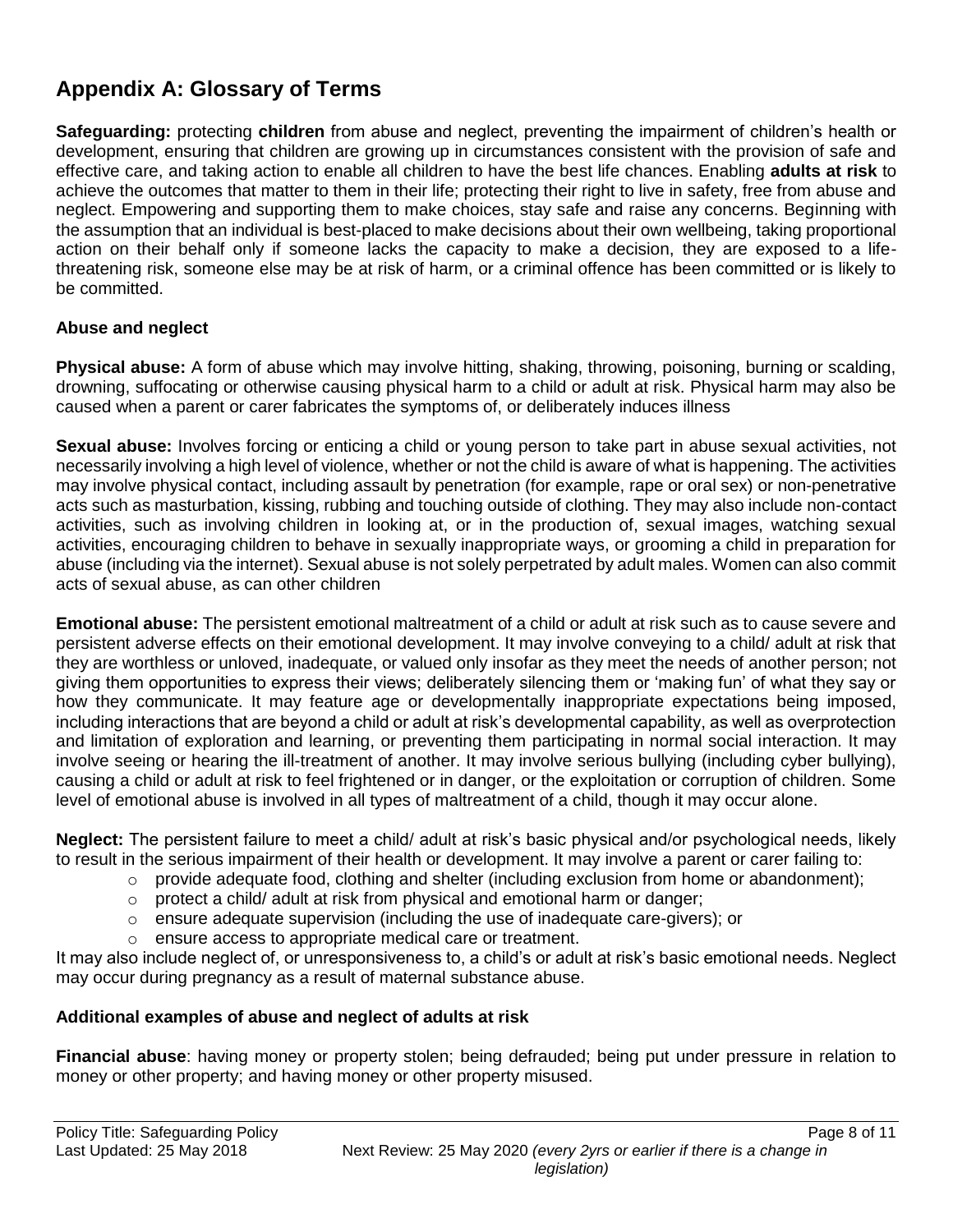# **Appendix A: Glossary of Terms**

**Safeguarding:** protecting **children** from abuse and neglect, preventing the impairment of children's health or development, ensuring that children are growing up in circumstances consistent with the provision of safe and effective care, and taking action to enable all children to have the best life chances. Enabling **adults at risk** to achieve the outcomes that matter to them in their life; protecting their right to live in safety, free from abuse and neglect. Empowering and supporting them to make choices, stay safe and raise any concerns. Beginning with the assumption that an individual is best-placed to make decisions about their own wellbeing, taking proportional action on their behalf only if someone lacks the capacity to make a decision, they are exposed to a lifethreatening risk, someone else may be at risk of harm, or a criminal offence has been committed or is likely to be committed.

### **Abuse and neglect**

**Physical abuse:** A form of abuse which may involve hitting, shaking, throwing, poisoning, burning or scalding, drowning, suffocating or otherwise causing physical harm to a child or adult at risk. Physical harm may also be caused when a parent or carer fabricates the symptoms of, or deliberately induces illness

**Sexual abuse:** Involves forcing or enticing a child or young person to take part in abuse sexual activities, not necessarily involving a high level of violence, whether or not the child is aware of what is happening. The activities may involve physical contact, including assault by penetration (for example, rape or oral sex) or non-penetrative acts such as masturbation, kissing, rubbing and touching outside of clothing. They may also include non-contact activities, such as involving children in looking at, or in the production of, sexual images, watching sexual activities, encouraging children to behave in sexually inappropriate ways, or grooming a child in preparation for abuse (including via the internet). Sexual abuse is not solely perpetrated by adult males. Women can also commit acts of sexual abuse, as can other children

**Emotional abuse:** The persistent emotional maltreatment of a child or adult at risk such as to cause severe and persistent adverse effects on their emotional development. It may involve conveying to a child/ adult at risk that they are worthless or unloved, inadequate, or valued only insofar as they meet the needs of another person; not giving them opportunities to express their views; deliberately silencing them or 'making fun' of what they say or how they communicate. It may feature age or developmentally inappropriate expectations being imposed, including interactions that are beyond a child or adult at risk's developmental capability, as well as overprotection and limitation of exploration and learning, or preventing them participating in normal social interaction. It may involve seeing or hearing the ill-treatment of another. It may involve serious bullying (including cyber bullying), causing a child or adult at risk to feel frightened or in danger, or the exploitation or corruption of children. Some level of emotional abuse is involved in all types of maltreatment of a child, though it may occur alone.

**Neglect:** The persistent failure to meet a child/ adult at risk's basic physical and/or psychological needs, likely to result in the serious impairment of their health or development. It may involve a parent or carer failing to:

- $\circ$  provide adequate food, clothing and shelter (including exclusion from home or abandonment);
- o protect a child/ adult at risk from physical and emotional harm or danger;
- $\circ$  ensure adequate supervision (including the use of inadequate care-givers); or
- o ensure access to appropriate medical care or treatment.

It may also include neglect of, or unresponsiveness to, a child's or adult at risk's basic emotional needs. Neglect may occur during pregnancy as a result of maternal substance abuse.

### **Additional examples of abuse and neglect of adults at risk**

**Financial abuse**: having money or property stolen; being defrauded; being put under pressure in relation to money or other property; and having money or other property misused.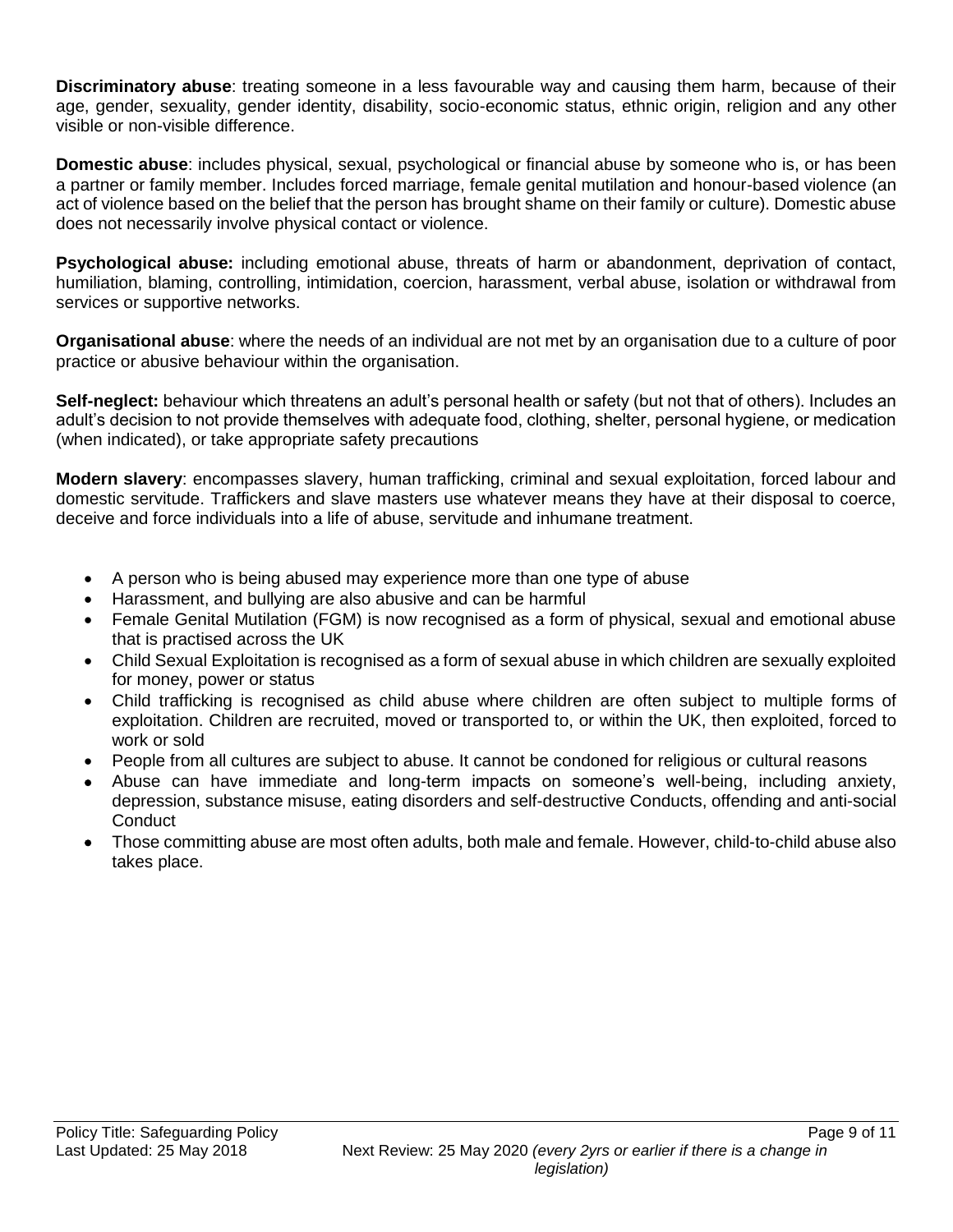**Discriminatory abuse**: treating someone in a less favourable way and causing them harm, because of their age, gender, sexuality, gender identity, disability, socio-economic status, ethnic origin, religion and any other visible or non-visible difference.

**Domestic abuse**: includes physical, sexual, psychological or financial abuse by someone who is, or has been a partner or family member. Includes forced marriage, female genital mutilation and honour-based violence (an act of violence based on the belief that the person has brought shame on their family or culture). Domestic abuse does not necessarily involve physical contact or violence.

**Psychological abuse:** including emotional abuse, threats of harm or abandonment, deprivation of contact, humiliation, blaming, controlling, intimidation, coercion, harassment, verbal abuse, isolation or withdrawal from services or supportive networks.

**Organisational abuse**: where the needs of an individual are not met by an organisation due to a culture of poor practice or abusive behaviour within the organisation.

**Self-neglect:** behaviour which threatens an adult's personal health or safety (but not that of others). Includes an adult's decision to not provide themselves with adequate food, clothing, shelter, personal hygiene, or medication (when indicated), or take appropriate safety precautions

**Modern slavery**: encompasses slavery, human trafficking, criminal and sexual exploitation, forced labour and domestic servitude. Traffickers and slave masters use whatever means they have at their disposal to coerce, deceive and force individuals into a life of abuse, servitude and inhumane treatment.

- A person who is being abused may experience more than one type of abuse
- Harassment, and bullying are also abusive and can be harmful
- Female Genital Mutilation (FGM) is now recognised as a form of physical, sexual and emotional abuse that is practised across the UK
- Child Sexual Exploitation is recognised as a form of sexual abuse in which children are sexually exploited for money, power or status
- Child trafficking is recognised as child abuse where children are often subject to multiple forms of exploitation. Children are recruited, moved or transported to, or within the UK, then exploited, forced to work or sold
- People from all cultures are subject to abuse. It cannot be condoned for religious or cultural reasons
- Abuse can have immediate and long-term impacts on someone's well-being, including anxiety, depression, substance misuse, eating disorders and self-destructive Conducts, offending and anti-social **Conduct**
- Those committing abuse are most often adults, both male and female. However, child-to-child abuse also takes place.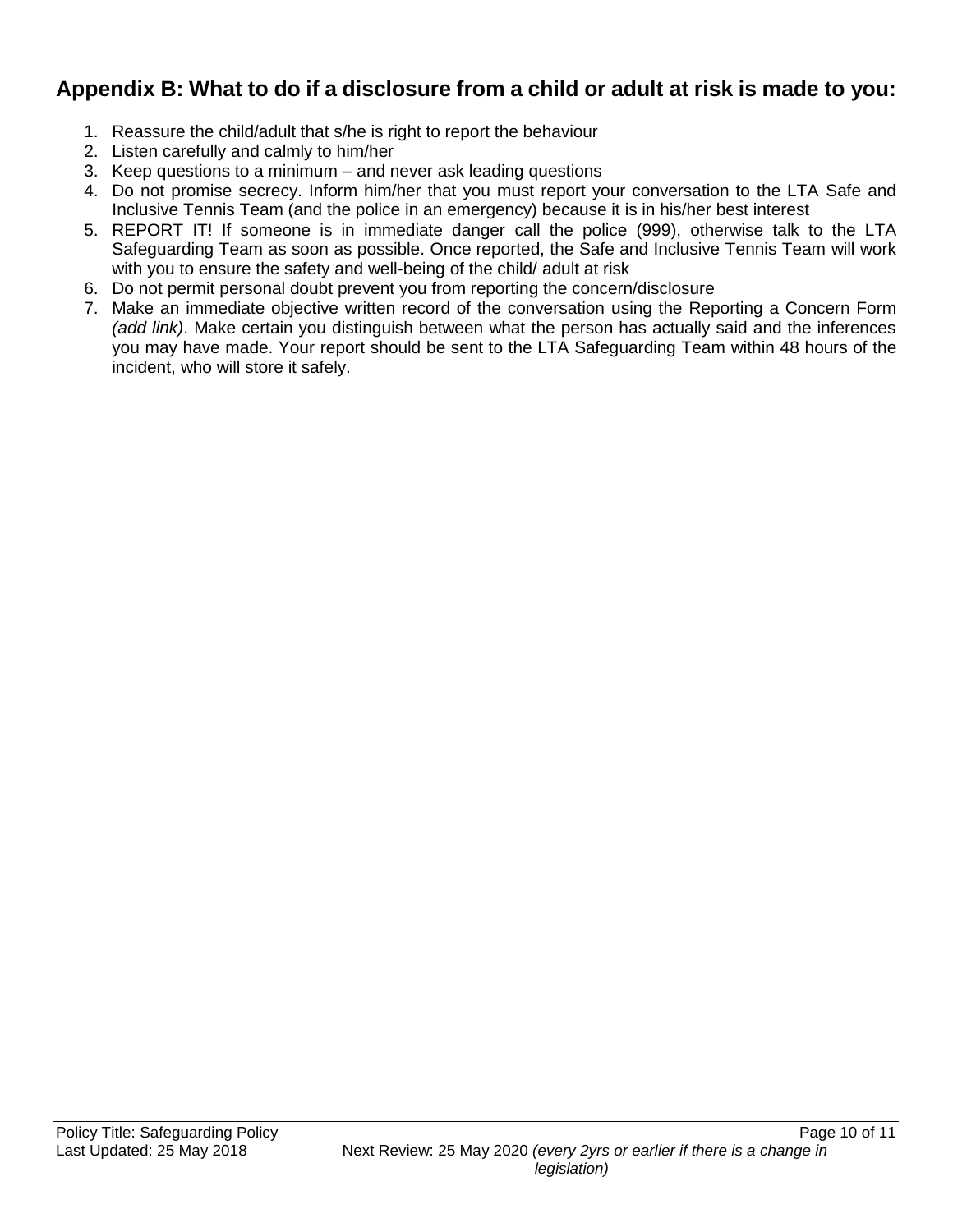## **Appendix B: What to do if a disclosure from a child or adult at risk is made to you:**

- 1. Reassure the child/adult that s/he is right to report the behaviour
- 2. Listen carefully and calmly to him/her
- 3. Keep questions to a minimum and never ask leading questions
- 4. Do not promise secrecy. Inform him/her that you must report your conversation to the LTA Safe and Inclusive Tennis Team (and the police in an emergency) because it is in his/her best interest
- 5. REPORT IT! If someone is in immediate danger call the police (999), otherwise talk to the LTA Safeguarding Team as soon as possible. Once reported, the Safe and Inclusive Tennis Team will work with you to ensure the safety and well-being of the child/ adult at risk
- 6. Do not permit personal doubt prevent you from reporting the concern/disclosure
- 7. Make an immediate objective written record of the conversation using the Reporting a Concern Form *(add link)*. Make certain you distinguish between what the person has actually said and the inferences you may have made. Your report should be sent to the LTA Safeguarding Team within 48 hours of the incident, who will store it safely.